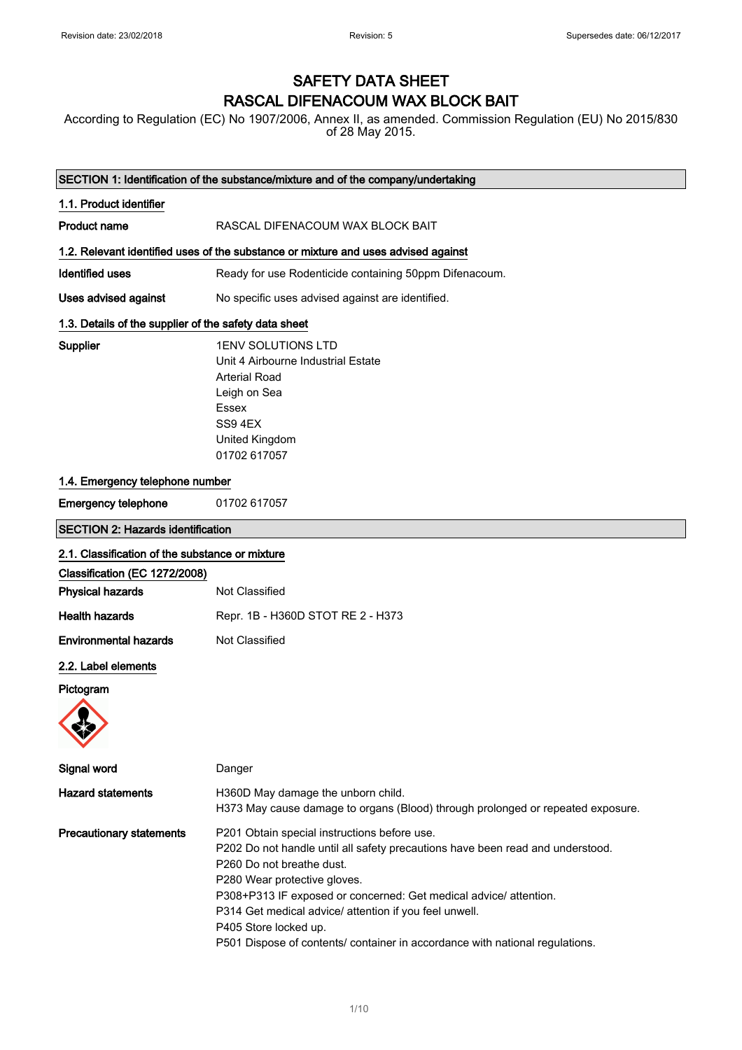### SAFETY DATA SHEET RASCAL DIFENACOUM WAX BLOCK BAIT

According to Regulation (EC) No 1907/2006, Annex II, as amended. Commission Regulation (EU) No 2015/830 of 28 May 2015.

|                                                       | SECTION 1: Identification of the substance/mixture and of the company/undertaking                                                                                                                                                                                                                                                                                                                                                   |
|-------------------------------------------------------|-------------------------------------------------------------------------------------------------------------------------------------------------------------------------------------------------------------------------------------------------------------------------------------------------------------------------------------------------------------------------------------------------------------------------------------|
| 1.1. Product identifier                               |                                                                                                                                                                                                                                                                                                                                                                                                                                     |
| <b>Product name</b>                                   | RASCAL DIFENACOUM WAX BLOCK BAIT                                                                                                                                                                                                                                                                                                                                                                                                    |
|                                                       | 1.2. Relevant identified uses of the substance or mixture and uses advised against                                                                                                                                                                                                                                                                                                                                                  |
| <b>Identified uses</b>                                | Ready for use Rodenticide containing 50ppm Difenacoum.                                                                                                                                                                                                                                                                                                                                                                              |
| Uses advised against                                  | No specific uses advised against are identified.                                                                                                                                                                                                                                                                                                                                                                                    |
| 1.3. Details of the supplier of the safety data sheet |                                                                                                                                                                                                                                                                                                                                                                                                                                     |
| Supplier                                              | <b>1ENV SOLUTIONS LTD</b><br>Unit 4 Airbourne Industrial Estate<br><b>Arterial Road</b><br>Leigh on Sea<br>Essex<br>SS9 4EX<br>United Kingdom<br>01702 617057                                                                                                                                                                                                                                                                       |
| 1.4. Emergency telephone number                       |                                                                                                                                                                                                                                                                                                                                                                                                                                     |
| <b>Emergency telephone</b>                            | 01702 617057                                                                                                                                                                                                                                                                                                                                                                                                                        |
| <b>SECTION 2: Hazards identification</b>              |                                                                                                                                                                                                                                                                                                                                                                                                                                     |
| 2.1. Classification of the substance or mixture       |                                                                                                                                                                                                                                                                                                                                                                                                                                     |
| Classification (EC 1272/2008)                         |                                                                                                                                                                                                                                                                                                                                                                                                                                     |
| <b>Physical hazards</b>                               | Not Classified                                                                                                                                                                                                                                                                                                                                                                                                                      |
| <b>Health hazards</b>                                 | Repr. 1B - H360D STOT RE 2 - H373                                                                                                                                                                                                                                                                                                                                                                                                   |
| <b>Environmental hazards</b>                          | Not Classified                                                                                                                                                                                                                                                                                                                                                                                                                      |
| 2.2. Label elements                                   |                                                                                                                                                                                                                                                                                                                                                                                                                                     |
| Pictogram                                             |                                                                                                                                                                                                                                                                                                                                                                                                                                     |
|                                                       |                                                                                                                                                                                                                                                                                                                                                                                                                                     |
| Signal word                                           | Danger                                                                                                                                                                                                                                                                                                                                                                                                                              |
| <b>Hazard statements</b>                              | H360D May damage the unborn child.<br>H373 May cause damage to organs (Blood) through prolonged or repeated exposure.                                                                                                                                                                                                                                                                                                               |
| <b>Precautionary statements</b>                       | P201 Obtain special instructions before use.<br>P202 Do not handle until all safety precautions have been read and understood.<br>P260 Do not breathe dust.<br>P280 Wear protective gloves.<br>P308+P313 IF exposed or concerned: Get medical advice/ attention.<br>P314 Get medical advice/ attention if you feel unwell.<br>P405 Store locked up.<br>P501 Dispose of contents/ container in accordance with national regulations. |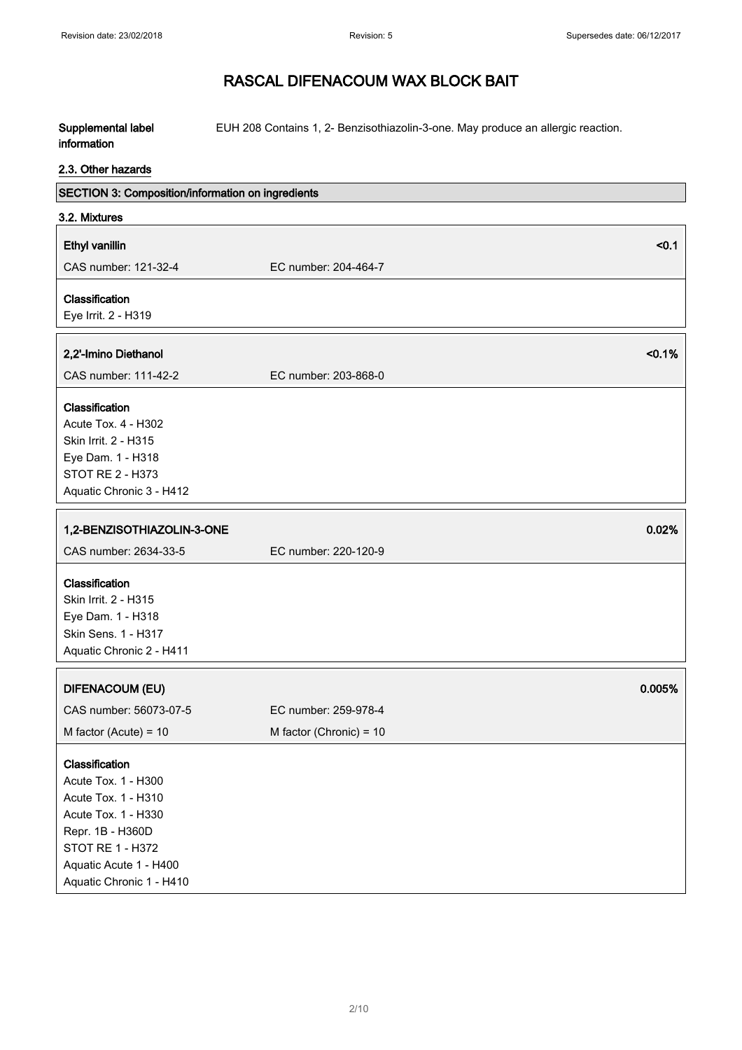#### Supplemental label information EUH 208 Contains 1, 2- Benzisothiazolin-3-one. May produce an allergic reaction.

### 2.3. Other hazards

| SECTION 3: Composition/information on ingredients                                                                                                                                 |                           |        |
|-----------------------------------------------------------------------------------------------------------------------------------------------------------------------------------|---------------------------|--------|
| 3.2. Mixtures                                                                                                                                                                     |                           |        |
| Ethyl vanillin                                                                                                                                                                    |                           | $0.1$  |
| CAS number: 121-32-4                                                                                                                                                              | EC number: 204-464-7      |        |
| Classification                                                                                                                                                                    |                           |        |
| Eye Irrit. 2 - H319                                                                                                                                                               |                           |        |
| 2,2'-Imino Diethanol                                                                                                                                                              |                           | < 0.1% |
| CAS number: 111-42-2                                                                                                                                                              | EC number: 203-868-0      |        |
| Classification<br>Acute Tox. 4 - H302<br>Skin Irrit. 2 - H315<br>Eye Dam. 1 - H318<br>STOT RE 2 - H373<br>Aquatic Chronic 3 - H412                                                |                           |        |
| 1,2-BENZISOTHIAZOLIN-3-ONE                                                                                                                                                        |                           | 0.02%  |
| CAS number: 2634-33-5                                                                                                                                                             | EC number: 220-120-9      |        |
| Classification<br>Skin Irrit. 2 - H315<br>Eye Dam. 1 - H318<br>Skin Sens. 1 - H317<br>Aquatic Chronic 2 - H411                                                                    |                           |        |
| <b>DIFENACOUM (EU)</b>                                                                                                                                                            |                           | 0.005% |
| CAS number: 56073-07-5                                                                                                                                                            | EC number: 259-978-4      |        |
| M factor (Acute) = $10$                                                                                                                                                           | M factor (Chronic) = $10$ |        |
| Classification<br>Acute Tox. 1 - H300<br>Acute Tox. 1 - H310<br>Acute Tox. 1 - H330<br>Repr. 1B - H360D<br>STOT RE 1 - H372<br>Aquatic Acute 1 - H400<br>Aquatic Chronic 1 - H410 |                           |        |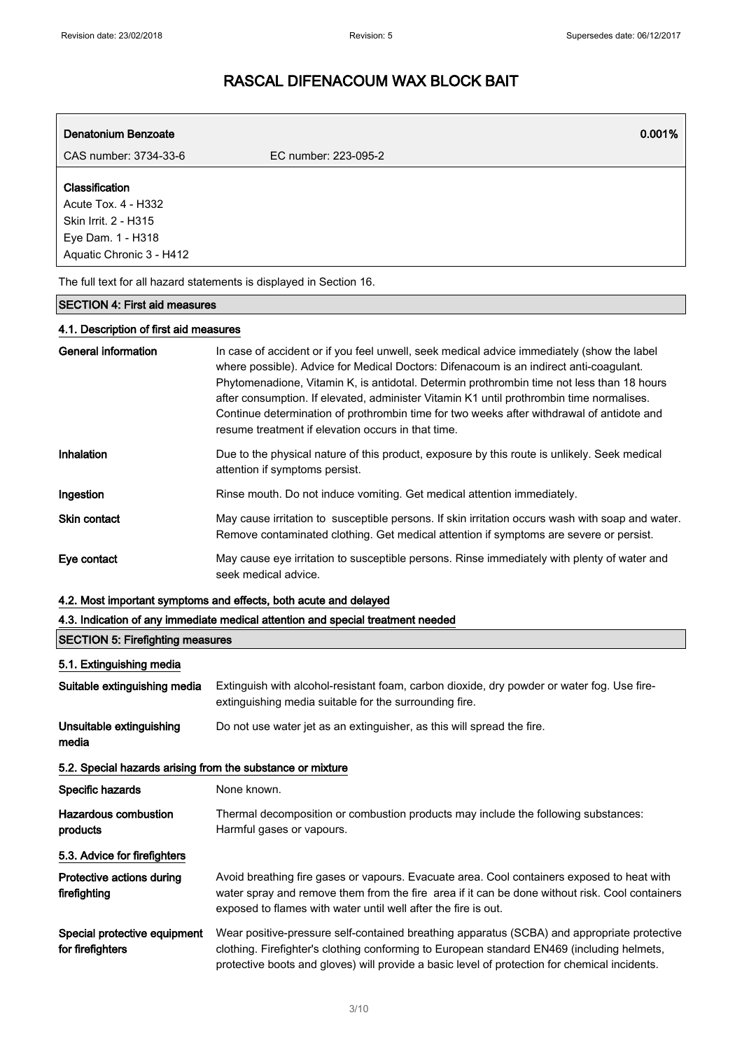| <b>Denatonium Benzoate</b>                                                                                     |                      | 0.001% |
|----------------------------------------------------------------------------------------------------------------|----------------------|--------|
| CAS number: 3734-33-6                                                                                          | EC number: 223-095-2 |        |
| Classification<br>Acute Tox. 4 - H332<br>Skin Irrit. 2 - H315<br>Eye Dam. 1 - H318<br>Aquatic Chronic 3 - H412 |                      |        |
| The full text for all hazard statements is displayed in Section 16.                                            |                      |        |

### SECTION 4: First aid measures

### 4.1. Description of first aid measures

| <b>General information</b> | In case of accident or if you feel unwell, seek medical advice immediately (show the label<br>where possible). Advice for Medical Doctors: Difenacoum is an indirect anti-coagulant.<br>Phytomenadione, Vitamin K, is antidotal. Determin prothrombin time not less than 18 hours<br>after consumption. If elevated, administer Vitamin K1 until prothrombin time normalises.<br>Continue determination of prothrombin time for two weeks after withdrawal of antidote and<br>resume treatment if elevation occurs in that time. |
|----------------------------|----------------------------------------------------------------------------------------------------------------------------------------------------------------------------------------------------------------------------------------------------------------------------------------------------------------------------------------------------------------------------------------------------------------------------------------------------------------------------------------------------------------------------------|
| Inhalation                 | Due to the physical nature of this product, exposure by this route is unlikely. Seek medical<br>attention if symptoms persist.                                                                                                                                                                                                                                                                                                                                                                                                   |
| Ingestion                  | Rinse mouth. Do not induce vomiting. Get medical attention immediately.                                                                                                                                                                                                                                                                                                                                                                                                                                                          |
| <b>Skin contact</b>        | May cause irritation to susceptible persons. If skin irritation occurs wash with soap and water.<br>Remove contaminated clothing. Get medical attention if symptoms are severe or persist.                                                                                                                                                                                                                                                                                                                                       |
| Eye contact                | May cause eye irritation to susceptible persons. Rinse immediately with plenty of water and<br>seek medical advice.                                                                                                                                                                                                                                                                                                                                                                                                              |

### 4.2. Most important symptoms and effects, both acute and delayed

#### 4.3. Indication of any immediate medical attention and special treatment needed

| <b>SECTION 5: Firefighting measures</b>                    |                                                                                                                                                                                                                                                                                            |  |
|------------------------------------------------------------|--------------------------------------------------------------------------------------------------------------------------------------------------------------------------------------------------------------------------------------------------------------------------------------------|--|
| 5.1. Extinguishing media                                   |                                                                                                                                                                                                                                                                                            |  |
| Suitable extinguishing media                               | Extinguish with alcohol-resistant foam, carbon dioxide, dry powder or water fog. Use fire-<br>extinguishing media suitable for the surrounding fire.                                                                                                                                       |  |
| Unsuitable extinguishing<br>media                          | Do not use water jet as an extinguisher, as this will spread the fire.                                                                                                                                                                                                                     |  |
| 5.2. Special hazards arising from the substance or mixture |                                                                                                                                                                                                                                                                                            |  |
| Specific hazards                                           | None known.                                                                                                                                                                                                                                                                                |  |
| Hazardous combustion<br>products                           | Thermal decomposition or combustion products may include the following substances:<br>Harmful gases or vapours.                                                                                                                                                                            |  |
| 5.3. Advice for firefighters                               |                                                                                                                                                                                                                                                                                            |  |
| Protective actions during<br>firefighting                  | Avoid breathing fire gases or vapours. Evacuate area. Cool containers exposed to heat with<br>water spray and remove them from the fire area if it can be done without risk. Cool containers<br>exposed to flames with water until well after the fire is out.                             |  |
| Special protective equipment<br>for firefighters           | Wear positive-pressure self-contained breathing apparatus (SCBA) and appropriate protective<br>clothing. Firefighter's clothing conforming to European standard EN469 (including helmets,<br>protective boots and gloves) will provide a basic level of protection for chemical incidents. |  |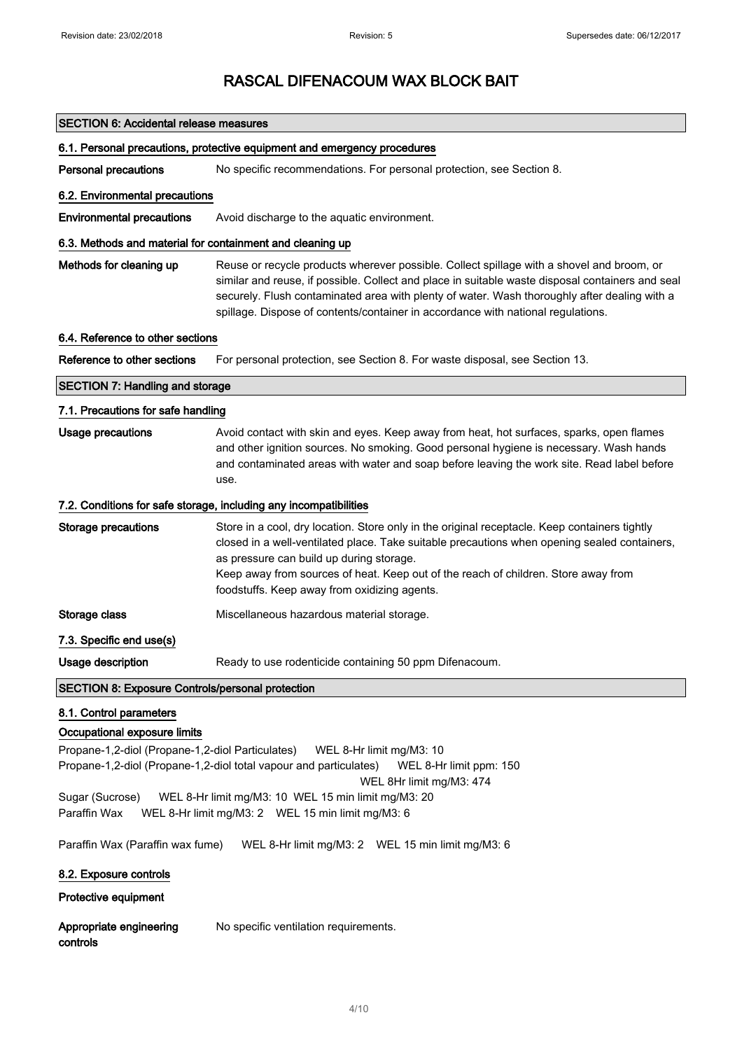| <b>SECTION 6: Accidental release measures</b>                                                                                                                                                            |                                                                                                                                                                                                                                                                                                                                                                                   |
|----------------------------------------------------------------------------------------------------------------------------------------------------------------------------------------------------------|-----------------------------------------------------------------------------------------------------------------------------------------------------------------------------------------------------------------------------------------------------------------------------------------------------------------------------------------------------------------------------------|
|                                                                                                                                                                                                          | 6.1. Personal precautions, protective equipment and emergency procedures                                                                                                                                                                                                                                                                                                          |
| <b>Personal precautions</b>                                                                                                                                                                              | No specific recommendations. For personal protection, see Section 8.                                                                                                                                                                                                                                                                                                              |
| 6.2. Environmental precautions                                                                                                                                                                           |                                                                                                                                                                                                                                                                                                                                                                                   |
| <b>Environmental precautions</b>                                                                                                                                                                         | Avoid discharge to the aquatic environment.                                                                                                                                                                                                                                                                                                                                       |
| 6.3. Methods and material for containment and cleaning up                                                                                                                                                |                                                                                                                                                                                                                                                                                                                                                                                   |
| Methods for cleaning up                                                                                                                                                                                  | Reuse or recycle products wherever possible. Collect spillage with a shovel and broom, or<br>similar and reuse, if possible. Collect and place in suitable waste disposal containers and seal<br>securely. Flush contaminated area with plenty of water. Wash thoroughly after dealing with a<br>spillage. Dispose of contents/container in accordance with national regulations. |
| 6.4. Reference to other sections                                                                                                                                                                         |                                                                                                                                                                                                                                                                                                                                                                                   |
| Reference to other sections                                                                                                                                                                              | For personal protection, see Section 8. For waste disposal, see Section 13.                                                                                                                                                                                                                                                                                                       |
| <b>SECTION 7: Handling and storage</b>                                                                                                                                                                   |                                                                                                                                                                                                                                                                                                                                                                                   |
| 7.1. Precautions for safe handling                                                                                                                                                                       |                                                                                                                                                                                                                                                                                                                                                                                   |
| <b>Usage precautions</b>                                                                                                                                                                                 | Avoid contact with skin and eyes. Keep away from heat, hot surfaces, sparks, open flames<br>and other ignition sources. No smoking. Good personal hygiene is necessary. Wash hands<br>and contaminated areas with water and soap before leaving the work site. Read label before<br>use.                                                                                          |
|                                                                                                                                                                                                          | 7.2. Conditions for safe storage, including any incompatibilities                                                                                                                                                                                                                                                                                                                 |
| <b>Storage precautions</b>                                                                                                                                                                               | Store in a cool, dry location. Store only in the original receptacle. Keep containers tightly<br>closed in a well-ventilated place. Take suitable precautions when opening sealed containers,<br>as pressure can build up during storage.<br>Keep away from sources of heat. Keep out of the reach of children. Store away from<br>foodstuffs. Keep away from oxidizing agents.   |
| Storage class                                                                                                                                                                                            | Miscellaneous hazardous material storage.                                                                                                                                                                                                                                                                                                                                         |
| 7.3. Specific end use(s)                                                                                                                                                                                 |                                                                                                                                                                                                                                                                                                                                                                                   |
| Usage description                                                                                                                                                                                        | Ready to use rodenticide containing 50 ppm Difenacoum.                                                                                                                                                                                                                                                                                                                            |
| <b>SECTION 8: Exposure Controls/personal protection</b>                                                                                                                                                  |                                                                                                                                                                                                                                                                                                                                                                                   |
| 8.1. Control parameters                                                                                                                                                                                  |                                                                                                                                                                                                                                                                                                                                                                                   |
| Occupational exposure limits                                                                                                                                                                             |                                                                                                                                                                                                                                                                                                                                                                                   |
| Propane-1,2-diol (Propane-1,2-diol Particulates)<br>WEL 8-Hr limit mg/M3: 10<br>Propane-1,2-diol (Propane-1,2-diol total vapour and particulates)<br>WEL 8-Hr limit ppm: 150<br>WEL 8Hr limit mg/M3: 474 |                                                                                                                                                                                                                                                                                                                                                                                   |
| Sugar (Sucrose)<br>WEL 8-Hr limit mg/M3: 10 WEL 15 min limit mg/M3: 20<br>Paraffin Wax<br>WEL 8-Hr limit mg/M3: 2 WEL 15 min limit mg/M3: 6                                                              |                                                                                                                                                                                                                                                                                                                                                                                   |
| Paraffin Wax (Paraffin wax fume)                                                                                                                                                                         | WEL 8-Hr limit mg/M3: 2  WEL 15 min limit mg/M3: 6                                                                                                                                                                                                                                                                                                                                |
| 8.2. Exposure controls                                                                                                                                                                                   |                                                                                                                                                                                                                                                                                                                                                                                   |
| Protective equipment                                                                                                                                                                                     |                                                                                                                                                                                                                                                                                                                                                                                   |
| Appropriate engineering<br>controls                                                                                                                                                                      | No specific ventilation requirements.                                                                                                                                                                                                                                                                                                                                             |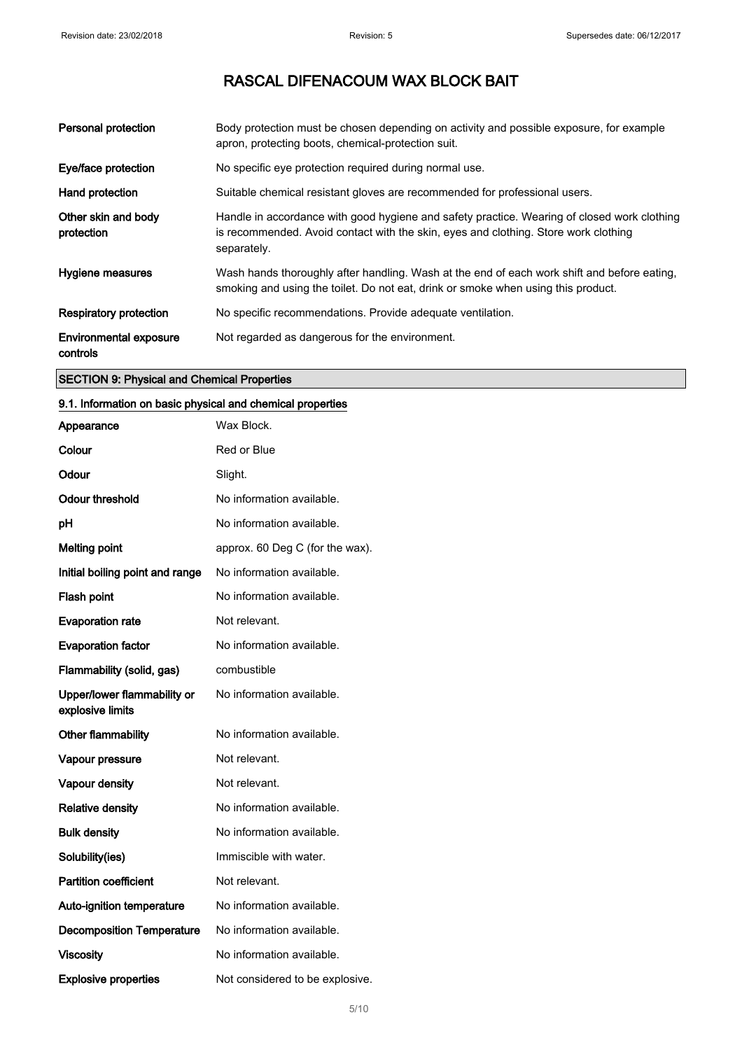| Personal protection                       | Body protection must be chosen depending on activity and possible exposure, for example<br>apron, protecting boots, chemical-protection suit.                                                     |
|-------------------------------------------|---------------------------------------------------------------------------------------------------------------------------------------------------------------------------------------------------|
| Eye/face protection                       | No specific eye protection required during normal use.                                                                                                                                            |
| Hand protection                           | Suitable chemical resistant gloves are recommended for professional users.                                                                                                                        |
| Other skin and body<br>protection         | Handle in accordance with good hygiene and safety practice. Wearing of closed work clothing<br>is recommended. Avoid contact with the skin, eyes and clothing. Store work clothing<br>separately. |
| <b>Hygiene measures</b>                   | Wash hands thoroughly after handling. Wash at the end of each work shift and before eating.<br>smoking and using the toilet. Do not eat, drink or smoke when using this product.                  |
| Respiratory protection                    | No specific recommendations. Provide adequate ventilation.                                                                                                                                        |
| <b>Environmental exposure</b><br>controls | Not regarded as dangerous for the environment.                                                                                                                                                    |

### SECTION 9: Physical and Chemical Properties

### 9.1. Information on basic physical and chemical properties

| Appearance                                      | Wax Block.                      |
|-------------------------------------------------|---------------------------------|
| Colour                                          | Red or Blue                     |
| Odour                                           | Slight.                         |
| Odour threshold                                 | No information available.       |
| рH                                              | No information available.       |
| <b>Melting point</b>                            | approx. 60 Deg C (for the wax). |
| Initial boiling point and range                 | No information available.       |
| Flash point                                     | No information available.       |
| <b>Evaporation rate</b>                         | Not relevant.                   |
| <b>Evaporation factor</b>                       | No information available.       |
| Flammability (solid, gas)                       | combustible                     |
| Upper/lower flammability or<br>explosive limits | No information available.       |
| Other flammability                              | No information available.       |
| Vapour pressure                                 | Not relevant.                   |
| Vapour density                                  | Not relevant.                   |
| <b>Relative density</b>                         | No information available.       |
| <b>Bulk density</b>                             | No information available.       |
| Solubility(ies)                                 | Immiscible with water.          |
| <b>Partition coefficient</b>                    | Not relevant.                   |
| Auto-ignition temperature                       | No information available.       |
| <b>Decomposition Temperature</b>                | No information available.       |
| <b>Viscosity</b>                                | No information available.       |
| <b>Explosive properties</b>                     | Not considered to be explosive. |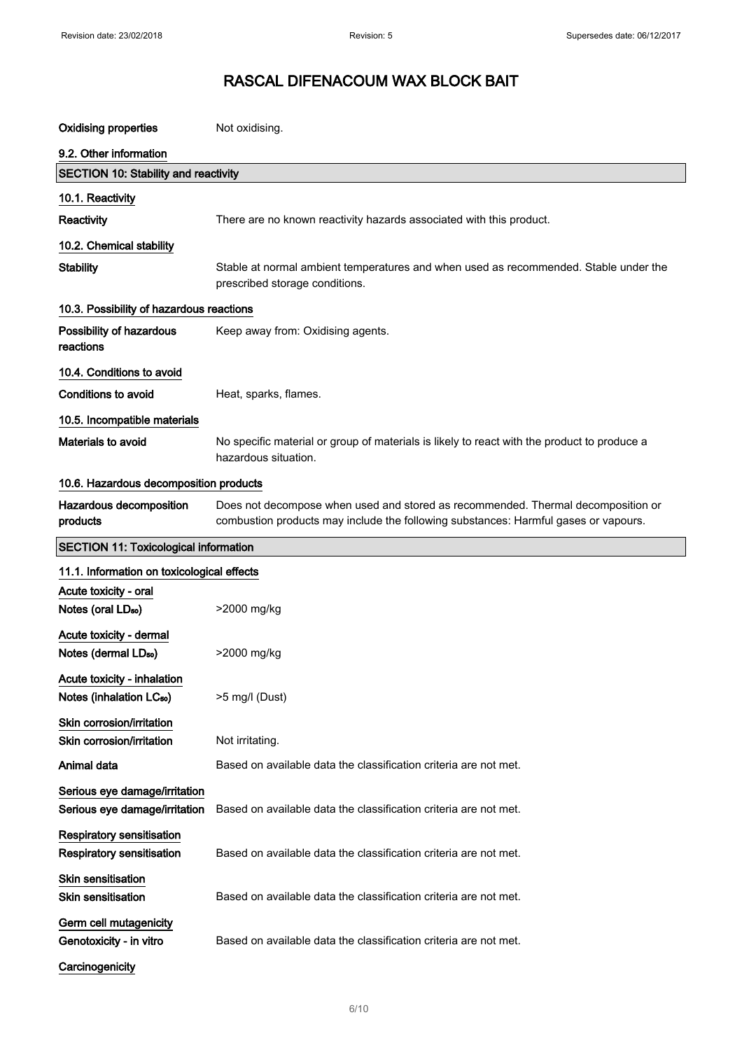| <b>Oxidising properties</b>                                          | Not oxidising.                                                                                                                                                          |
|----------------------------------------------------------------------|-------------------------------------------------------------------------------------------------------------------------------------------------------------------------|
| 9.2. Other information                                               |                                                                                                                                                                         |
| <b>SECTION 10: Stability and reactivity</b>                          |                                                                                                                                                                         |
| 10.1. Reactivity                                                     |                                                                                                                                                                         |
| Reactivity                                                           | There are no known reactivity hazards associated with this product.                                                                                                     |
| 10.2. Chemical stability                                             |                                                                                                                                                                         |
| <b>Stability</b>                                                     | Stable at normal ambient temperatures and when used as recommended. Stable under the<br>prescribed storage conditions.                                                  |
| 10.3. Possibility of hazardous reactions                             |                                                                                                                                                                         |
| Possibility of hazardous<br>reactions                                | Keep away from: Oxidising agents.                                                                                                                                       |
| 10.4. Conditions to avoid                                            |                                                                                                                                                                         |
| Conditions to avoid                                                  | Heat, sparks, flames.                                                                                                                                                   |
| 10.5. Incompatible materials                                         |                                                                                                                                                                         |
| Materials to avoid                                                   | No specific material or group of materials is likely to react with the product to produce a<br>hazardous situation.                                                     |
| 10.6. Hazardous decomposition products                               |                                                                                                                                                                         |
| Hazardous decomposition<br>products                                  | Does not decompose when used and stored as recommended. Thermal decomposition or<br>combustion products may include the following substances: Harmful gases or vapours. |
| <b>SECTION 11: Toxicological information</b>                         |                                                                                                                                                                         |
| 11.1. Information on toxicological effects                           |                                                                                                                                                                         |
| Acute toxicity - oral<br>Notes (oral LD <sub>50</sub> )              | >2000 mg/kg                                                                                                                                                             |
| Acute toxicity - dermal<br>Notes (dermal LD <sub>50</sub> )          | >2000 mg/kg                                                                                                                                                             |
| Acute toxicity - inhalation<br>Notes (inhalation LC <sub>50</sub> )  | >5 mg/l (Dust)                                                                                                                                                          |
| Skin corrosion/irritation<br>Skin corrosion/irritation               | Not irritating.                                                                                                                                                         |
| Animal data                                                          | Based on available data the classification criteria are not met.                                                                                                        |
| Serious eye damage/irritation<br>Serious eye damage/irritation       | Based on available data the classification criteria are not met.                                                                                                        |
| <b>Respiratory sensitisation</b><br><b>Respiratory sensitisation</b> | Based on available data the classification criteria are not met.                                                                                                        |
| Skin sensitisation<br><b>Skin sensitisation</b>                      | Based on available data the classification criteria are not met.                                                                                                        |
| Germ cell mutagenicity<br>Genotoxicity - in vitro                    | Based on available data the classification criteria are not met.                                                                                                        |
| Carcinogenicity                                                      |                                                                                                                                                                         |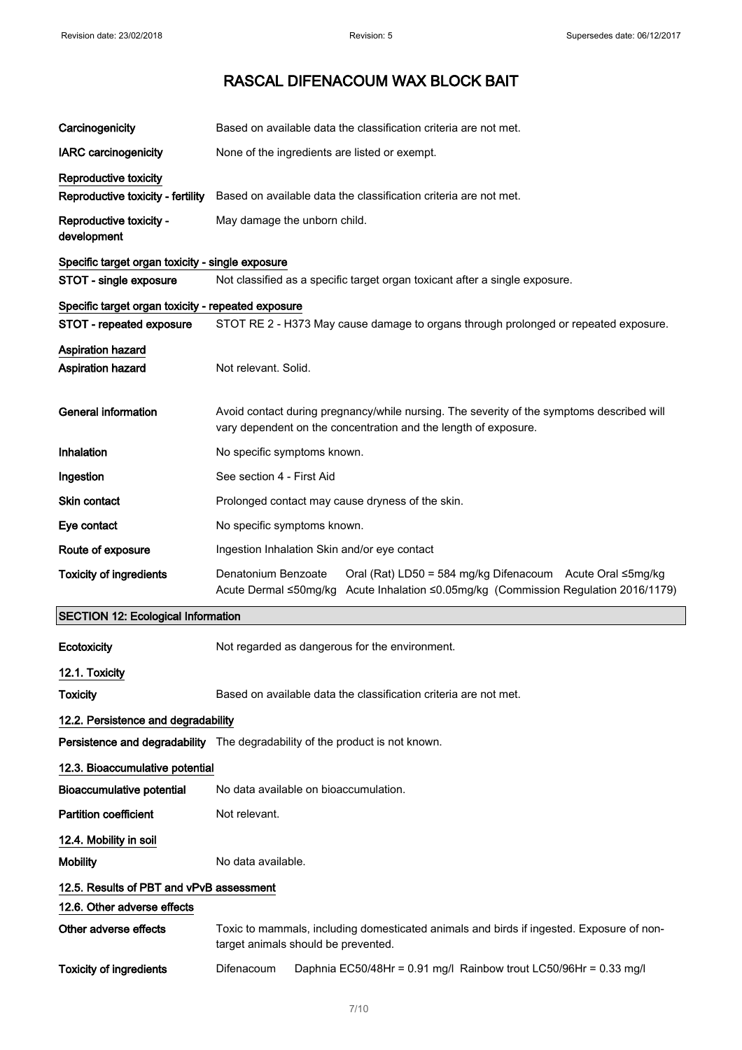| Carcinogenicity                                    | Based on available data the classification criteria are not met.                                                                                                           |
|----------------------------------------------------|----------------------------------------------------------------------------------------------------------------------------------------------------------------------------|
| <b>IARC carcinogenicity</b>                        | None of the ingredients are listed or exempt.                                                                                                                              |
| <b>Reproductive toxicity</b>                       |                                                                                                                                                                            |
| Reproductive toxicity - fertility                  | Based on available data the classification criteria are not met.                                                                                                           |
| Reproductive toxicity -<br>development             | May damage the unborn child.                                                                                                                                               |
| Specific target organ toxicity - single exposure   |                                                                                                                                                                            |
| STOT - single exposure                             | Not classified as a specific target organ toxicant after a single exposure.                                                                                                |
| Specific target organ toxicity - repeated exposure |                                                                                                                                                                            |
| STOT - repeated exposure                           | STOT RE 2 - H373 May cause damage to organs through prolonged or repeated exposure.                                                                                        |
| Aspiration hazard<br><b>Aspiration hazard</b>      | Not relevant. Solid.                                                                                                                                                       |
| <b>General information</b>                         | Avoid contact during pregnancy/while nursing. The severity of the symptoms described will<br>vary dependent on the concentration and the length of exposure.               |
| Inhalation                                         | No specific symptoms known.                                                                                                                                                |
| Ingestion                                          | See section 4 - First Aid                                                                                                                                                  |
| Skin contact                                       | Prolonged contact may cause dryness of the skin.                                                                                                                           |
| Eye contact                                        | No specific symptoms known.                                                                                                                                                |
| Route of exposure                                  | Ingestion Inhalation Skin and/or eye contact                                                                                                                               |
| <b>Toxicity of ingredients</b>                     | Denatonium Benzoate<br>Oral (Rat) LD50 = 584 mg/kg Difenacoum Acute Oral ≤5mg/kg<br>Acute Dermal ≤50mg/kg<br>Acute Inhalation ≤0.05mg/kg (Commission Regulation 2016/1179) |
| <b>SECTION 12: Ecological Information</b>          |                                                                                                                                                                            |
| Ecotoxicity                                        | Not regarded as dangerous for the environment.                                                                                                                             |
| 12.1. Toxicity                                     |                                                                                                                                                                            |
| Toxicity                                           | Based on available data the classification criteria are not met.                                                                                                           |
| 12.2. Persistence and degradability                |                                                                                                                                                                            |
|                                                    | Persistence and degradability The degradability of the product is not known.                                                                                               |
| 12.3. Bioaccumulative potential                    |                                                                                                                                                                            |
| Bioaccumulative potential                          | No data available on bioaccumulation.                                                                                                                                      |
| <b>Partition coefficient</b>                       | Not relevant.                                                                                                                                                              |
| 12.4. Mobility in soil                             |                                                                                                                                                                            |
| <b>Mobility</b>                                    | No data available.                                                                                                                                                         |
| 12.5. Results of PBT and vPvB assessment           |                                                                                                                                                                            |
| 12.6. Other adverse effects                        |                                                                                                                                                                            |
| Other adverse effects                              | Toxic to mammals, including domesticated animals and birds if ingested. Exposure of non-<br>target animals should be prevented.                                            |
| <b>Toxicity of ingredients</b>                     | Difenacoum<br>Daphnia EC50/48Hr = 0.91 mg/l Rainbow trout LC50/96Hr = 0.33 mg/l                                                                                            |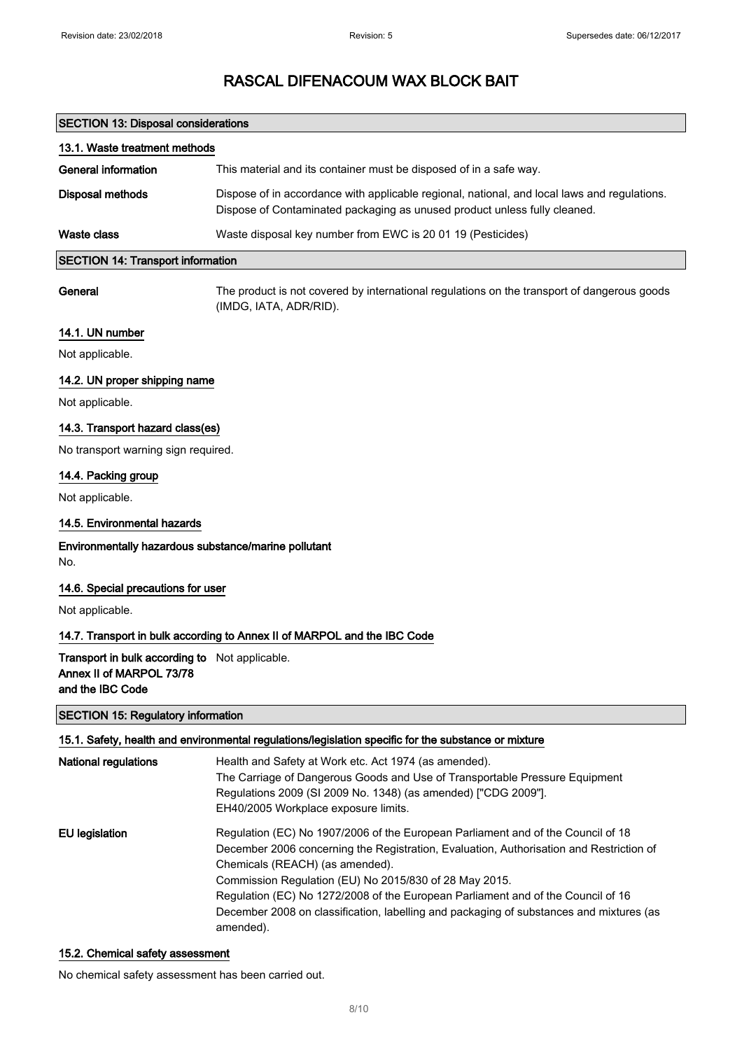| <b>SECTION 13: Disposal considerations</b>                                                            |                                                                                                                                                                                                                                                |
|-------------------------------------------------------------------------------------------------------|------------------------------------------------------------------------------------------------------------------------------------------------------------------------------------------------------------------------------------------------|
| 13.1. Waste treatment methods                                                                         |                                                                                                                                                                                                                                                |
| <b>General information</b>                                                                            | This material and its container must be disposed of in a safe way.                                                                                                                                                                             |
| <b>Disposal methods</b>                                                                               | Dispose of in accordance with applicable regional, national, and local laws and regulations.<br>Dispose of Contaminated packaging as unused product unless fully cleaned.                                                                      |
| Waste class                                                                                           | Waste disposal key number from EWC is 20 01 19 (Pesticides)                                                                                                                                                                                    |
| <b>SECTION 14: Transport information</b>                                                              |                                                                                                                                                                                                                                                |
| General                                                                                               | The product is not covered by international regulations on the transport of dangerous goods<br>(IMDG, IATA, ADR/RID).                                                                                                                          |
| 14.1. UN number                                                                                       |                                                                                                                                                                                                                                                |
| Not applicable.                                                                                       |                                                                                                                                                                                                                                                |
| 14.2. UN proper shipping name                                                                         |                                                                                                                                                                                                                                                |
| Not applicable.                                                                                       |                                                                                                                                                                                                                                                |
| 14.3. Transport hazard class(es)                                                                      |                                                                                                                                                                                                                                                |
| No transport warning sign required.                                                                   |                                                                                                                                                                                                                                                |
| 14.4. Packing group                                                                                   |                                                                                                                                                                                                                                                |
| Not applicable.                                                                                       |                                                                                                                                                                                                                                                |
| 14.5. Environmental hazards                                                                           |                                                                                                                                                                                                                                                |
| Environmentally hazardous substance/marine pollutant<br>No.                                           |                                                                                                                                                                                                                                                |
| 14.6. Special precautions for user                                                                    |                                                                                                                                                                                                                                                |
| Not applicable.                                                                                       |                                                                                                                                                                                                                                                |
|                                                                                                       | 14.7. Transport in bulk according to Annex II of MARPOL and the IBC Code                                                                                                                                                                       |
| <b>Transport in bulk according to</b> Not applicable.<br>Annex II of MARPOL 73/78<br>and the IBC Code |                                                                                                                                                                                                                                                |
| <b>SECTION 15: Regulatory information</b>                                                             |                                                                                                                                                                                                                                                |
|                                                                                                       | 15.1. Safety, health and environmental regulations/legislation specific for the substance or mixture                                                                                                                                           |
| <b>National regulations</b>                                                                           | Health and Safety at Work etc. Act 1974 (as amended).<br>The Carriage of Dangerous Goods and Use of Transportable Pressure Equipment<br>Regulations 2009 (SI 2009 No. 1348) (as amended) ["CDG 2009"].<br>EH40/2005 Workplace exposure limits. |
| <b>EU</b> legislation                                                                                 | Regulation (EC) No 1907/2006 of the European Parliament and of the Council of 18<br>December 2006 concerning the Registration, Evaluation, Authorisation and Restriction of<br>Chemicals (REACH) (as amended).                                 |

Commission Regulation (EU) No 2015/830 of 28 May 2015. Regulation (EC) No 1272/2008 of the European Parliament and of the Council of 16 December 2008 on classification, labelling and packaging of substances and mixtures (as amended).

### 15.2. Chemical safety assessment

No chemical safety assessment has been carried out.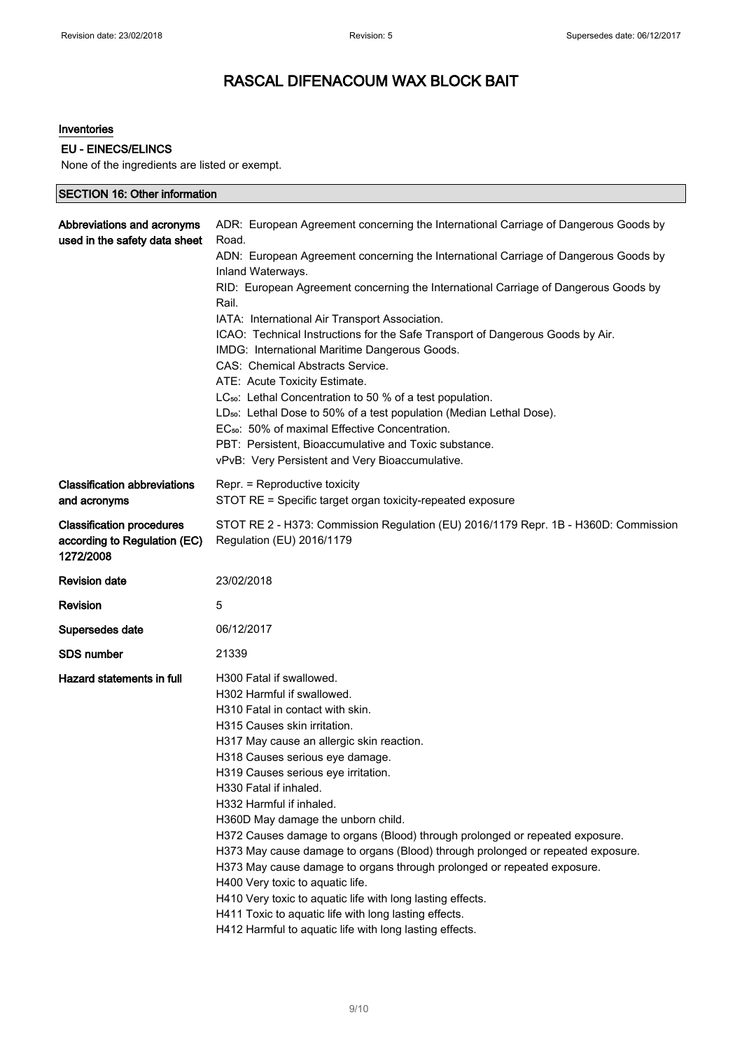#### Inventories

### EU - EINECS/ELINCS

None of the ingredients are listed or exempt.

| <b>SECTION 16: Other information</b>                                          |                                                                                                                                                                                                                                                                                                                                                                                                                                                                                                                                                                                                                                                                                                                                                                                                                                                                                                           |  |
|-------------------------------------------------------------------------------|-----------------------------------------------------------------------------------------------------------------------------------------------------------------------------------------------------------------------------------------------------------------------------------------------------------------------------------------------------------------------------------------------------------------------------------------------------------------------------------------------------------------------------------------------------------------------------------------------------------------------------------------------------------------------------------------------------------------------------------------------------------------------------------------------------------------------------------------------------------------------------------------------------------|--|
| Abbreviations and acronyms<br>used in the safety data sheet                   | ADR: European Agreement concerning the International Carriage of Dangerous Goods by<br>Road.<br>ADN: European Agreement concerning the International Carriage of Dangerous Goods by<br>Inland Waterways.<br>RID: European Agreement concerning the International Carriage of Dangerous Goods by<br>Rail.<br>IATA: International Air Transport Association.<br>ICAO: Technical Instructions for the Safe Transport of Dangerous Goods by Air.<br>IMDG: International Maritime Dangerous Goods.<br>CAS: Chemical Abstracts Service.<br>ATE: Acute Toxicity Estimate.<br>LC <sub>50</sub> : Lethal Concentration to 50 % of a test population.<br>LD <sub>50</sub> : Lethal Dose to 50% of a test population (Median Lethal Dose).<br>EC <sub>50</sub> : 50% of maximal Effective Concentration.<br>PBT: Persistent, Bioaccumulative and Toxic substance.<br>vPvB: Very Persistent and Very Bioaccumulative. |  |
| <b>Classification abbreviations</b><br>and acronyms                           | Repr. = Reproductive toxicity<br>STOT RE = Specific target organ toxicity-repeated exposure                                                                                                                                                                                                                                                                                                                                                                                                                                                                                                                                                                                                                                                                                                                                                                                                               |  |
| <b>Classification procedures</b><br>according to Regulation (EC)<br>1272/2008 | STOT RE 2 - H373: Commission Regulation (EU) 2016/1179 Repr. 1B - H360D: Commission<br>Regulation (EU) 2016/1179                                                                                                                                                                                                                                                                                                                                                                                                                                                                                                                                                                                                                                                                                                                                                                                          |  |
| <b>Revision date</b>                                                          | 23/02/2018                                                                                                                                                                                                                                                                                                                                                                                                                                                                                                                                                                                                                                                                                                                                                                                                                                                                                                |  |
| Revision                                                                      | 5                                                                                                                                                                                                                                                                                                                                                                                                                                                                                                                                                                                                                                                                                                                                                                                                                                                                                                         |  |
| Supersedes date                                                               | 06/12/2017                                                                                                                                                                                                                                                                                                                                                                                                                                                                                                                                                                                                                                                                                                                                                                                                                                                                                                |  |
| <b>SDS number</b>                                                             | 21339                                                                                                                                                                                                                                                                                                                                                                                                                                                                                                                                                                                                                                                                                                                                                                                                                                                                                                     |  |
| Hazard statements in full                                                     | H300 Fatal if swallowed.<br>H302 Harmful if swallowed.<br>H310 Fatal in contact with skin.<br>H315 Causes skin irritation.<br>H317 May cause an allergic skin reaction.<br>H318 Causes serious eye damage.<br>H319 Causes serious eye irritation.<br>H330 Fatal if inhaled.<br>H332 Harmful if inhaled.<br>H360D May damage the unborn child.<br>H372 Causes damage to organs (Blood) through prolonged or repeated exposure.<br>H373 May cause damage to organs (Blood) through prolonged or repeated exposure.<br>H373 May cause damage to organs through prolonged or repeated exposure.<br>H400 Very toxic to aquatic life.<br>H410 Very toxic to aquatic life with long lasting effects.<br>H411 Toxic to aquatic life with long lasting effects.<br>H412 Harmful to aquatic life with long lasting effects.                                                                                         |  |